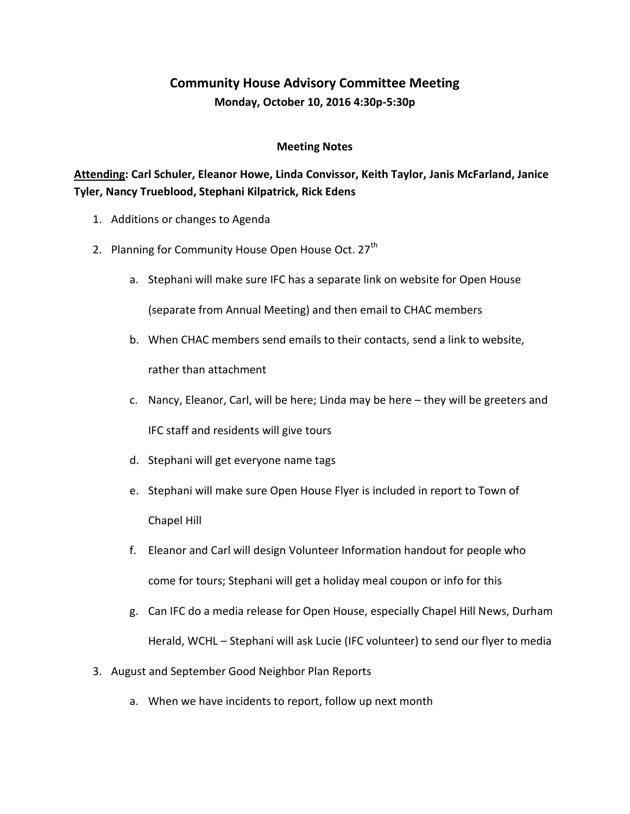## **Community House Advisory Committee Meeting Monday, October 10, 2016 4:30p-5:30p**

## **Meeting Notes**

## **Attending: Carl Schuler, Eleanor Howe, Linda Convissor, Keith Taylor, Janis McFarland, Janice Tyler, Nancy Trueblood, Stephani Kilpatrick, Rick Edens**

- 1. Additions or changes to Agenda
- 2. Planning for Community House Open House Oct. 27<sup>th</sup>
	- a. Stephani will make sure IFC has a separate link on website for Open House (separate from Annual Meeting) and then email to CHAC members
	- b. When CHAC members send emails to their contacts, send a link to website, rather than attachment
	- c. Nancy, Eleanor, Carl, will be here; Linda may be here they will be greeters and IFC staff and residents will give tours
	- d. Stephani will get everyone name tags
	- e. Stephani will make sure Open House Flyer is included in report to Town of Chapel Hill
	- f. Eleanor and Carl will design Volunteer Information handout for people who come for tours; Stephani will get a holiday meal coupon or info for this
	- g. Can IFC do a media release for Open House, especially Chapel Hill News, Durham Herald, WCHL – Stephani will ask Lucie (IFC volunteer) to send our flyer to media
- 3. August and September Good Neighbor Plan Reports
	- a. When we have incidents to report, follow up next month